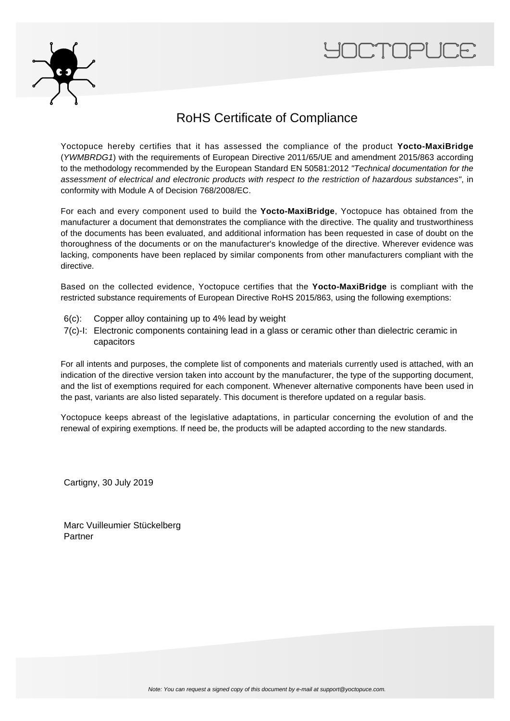



### RoHS Certificate of Compliance

Yoctopuce hereby certifies that it has assessed the compliance of the product **Yocto-MaxiBridge** (YWMBRDG1) with the requirements of European Directive 2011/65/UE and amendment 2015/863 according to the methodology recommended by the European Standard EN 50581:2012 "Technical documentation for the assessment of electrical and electronic products with respect to the restriction of hazardous substances", in conformity with Module A of Decision 768/2008/EC.

For each and every component used to build the **Yocto-MaxiBridge**, Yoctopuce has obtained from the manufacturer a document that demonstrates the compliance with the directive. The quality and trustworthiness of the documents has been evaluated, and additional information has been requested in case of doubt on the thoroughness of the documents or on the manufacturer's knowledge of the directive. Wherever evidence was lacking, components have been replaced by similar components from other manufacturers compliant with the directive.

Based on the collected evidence, Yoctopuce certifies that the **Yocto-MaxiBridge** is compliant with the restricted substance requirements of European Directive RoHS 2015/863, using the following exemptions:

- 6(c): Copper alloy containing up to 4% lead by weight
- 7(c)-I: Electronic components containing lead in a glass or ceramic other than dielectric ceramic in capacitors

For all intents and purposes, the complete list of components and materials currently used is attached, with an indication of the directive version taken into account by the manufacturer, the type of the supporting document, and the list of exemptions required for each component. Whenever alternative components have been used in the past, variants are also listed separately. This document is therefore updated on a regular basis.

Yoctopuce keeps abreast of the legislative adaptations, in particular concerning the evolution of and the renewal of expiring exemptions. If need be, the products will be adapted according to the new standards.

Cartigny, 30 July 2019

Marc Vuilleumier Stückelberg Partner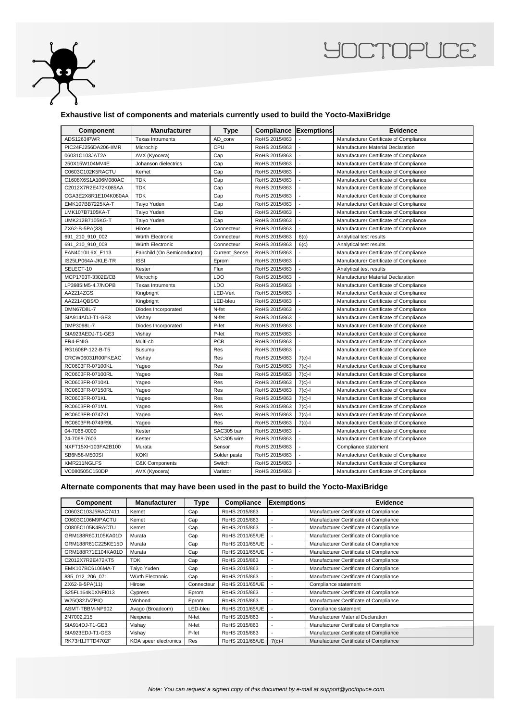

## **YOCTOPUCE**

#### **Exhaustive list of components and materials currently used to build the Yocto-MaxiBridge**

| <b>Component</b>     | <b>Manufacturer</b>          | <b>Type</b>   | Compliance    | <b>Exemptions</b>        | <b>Evidence</b>                        |
|----------------------|------------------------------|---------------|---------------|--------------------------|----------------------------------------|
| ADS1263IPWR          | <b>Texas Intruments</b>      | AD_conv       | RoHS 2015/863 |                          | Manufacturer Certificate of Compliance |
| PIC24FJ256DA206-I/MR | Microchip                    | CPU           | RoHS 2015/863 |                          | Manufacturer Material Declaration      |
| 06031C103JAT2A       | AVX (Kyocera)                | Cap           | RoHS 2015/863 |                          | Manufacturer Certificate of Compliance |
| 250X15W104MV4E       | Johanson dielectrics         | Cap           | RoHS 2015/863 |                          | Manufacturer Certificate of Compliance |
| C0603C102K5RACTU     | Kemet                        | Cap           | RoHS 2015/863 |                          | Manufacturer Certificate of Compliance |
| C1608X6S1A106M080AC  | <b>TDK</b>                   | Cap           | RoHS 2015/863 | $\overline{a}$           | Manufacturer Certificate of Compliance |
| C2012X7R2E472K085AA  | <b>TDK</b>                   | Cap           | RoHS 2015/863 |                          | Manufacturer Certificate of Compliance |
| CGA3E2X8R1E104K080AA | <b>TDK</b>                   | Cap           | RoHS 2015/863 | ÷,                       | Manufacturer Certificate of Compliance |
| EMK107BB7225KA-T     | Taiyo Yuden                  | Cap           | RoHS 2015/863 |                          | Manufacturer Certificate of Compliance |
| LMK107B7105KA-T      | Taiyo Yuden                  | Cap           | RoHS 2015/863 | $\overline{a}$           | Manufacturer Certificate of Compliance |
| UMK212B7105KG-T      | Taiyo Yuden                  | Cap           | RoHS 2015/863 |                          | Manufacturer Certificate of Compliance |
| ZX62-B-5PA(33)       | Hirose                       | Connecteur    | RoHS 2015/863 |                          | Manufacturer Certificate of Compliance |
| 691 210 910 002      | Würth Electronic             | Connecteur    | RoHS 2015/863 | 6(c)                     | Analytical test results                |
| 691 210 910 008      | Würth Electronic             | Connecteur    | RoHS 2015/863 | 6(c)                     | Analytical test results                |
| FAN4010IL6X_F113     | Fairchild (On Semiconductor) | Current Sense | RoHS 2015/863 | $\overline{a}$           | Manufacturer Certificate of Compliance |
| IS25LP064A-JKLE-TR   | <b>ISSI</b>                  | Eprom         | RoHS 2015/863 |                          | Manufacturer Certificate of Compliance |
| SELECT-10            | Kester                       | Flux          | RoHS 2015/863 | $\overline{a}$           | Analytical test results                |
| MCP1703T-3302E/CB    | Microchip                    | LDO           | RoHS 2015/863 |                          | Manufacturer Material Declaration      |
| LP3985IM5-4.7/NOPB   | <b>Texas Intruments</b>      | LDO           | RoHS 2015/863 |                          | Manufacturer Certificate of Compliance |
| AA2214ZGS            | Kingbright                   | LED-Vert      | RoHS 2015/863 |                          | Manufacturer Certificate of Compliance |
| AA2214QBS/D          | Kingbright                   | LED-bleu      | RoHS 2015/863 |                          | Manufacturer Certificate of Compliance |
| <b>DMN67D8L-7</b>    | Diodes Incorporated          | N-fet         | RoHS 2015/863 |                          | Manufacturer Certificate of Compliance |
| SIA914ADJ-T1-GE3     | Vishay                       | N-fet         | RoHS 2015/863 |                          | Manufacturer Certificate of Compliance |
| DMP3098L-7           | Diodes Incorporated          | P-fet         | RoHS 2015/863 | $\overline{\phantom{a}}$ | Manufacturer Certificate of Compliance |
| SIA923AEDJ-T1-GE3    | Vishay                       | P-fet         | RoHS 2015/863 |                          | Manufacturer Certificate of Compliance |
| FR4-ENIG             | Multi-cb                     | PCB           | RoHS 2015/863 | ÷,                       | Manufacturer Certificate of Compliance |
| RG1608P-122-B-T5     | Susumu                       | Res           | RoHS 2015/863 |                          | Manufacturer Certificate of Compliance |
| CRCW06031R00FKEAC    | Vishay                       | Res           | RoHS 2015/863 | $7(c)$ -l                | Manufacturer Certificate of Compliance |
| RC0603FR-07100KL     | Yageo                        | Res           | RoHS 2015/863 | $7(c) - 1$               | Manufacturer Certificate of Compliance |
| RC0603FR-07100RL     | Yageo                        | Res           | RoHS 2015/863 | $7(c)-1$                 | Manufacturer Certificate of Compliance |
| RC0603FR-0710KL      | Yageo                        | Res           | RoHS 2015/863 | $7(c)$ -l                | Manufacturer Certificate of Compliance |
| RC0603FR-07150RL     | Yageo                        | Res           | RoHS 2015/863 | $7(c)$ -l                | Manufacturer Certificate of Compliance |
| RC0603FR-071KL       | Yageo                        | Res           | RoHS 2015/863 | $7(c) - 1$               | Manufacturer Certificate of Compliance |
| RC0603FR-071ML       | Yageo                        | Res           | RoHS 2015/863 | $7(c)-1$                 | Manufacturer Certificate of Compliance |
| RC0603FR-0747KL      | Yageo                        | Res           | RoHS 2015/863 | $7(c)$ -l                | Manufacturer Certificate of Compliance |
| RC0603FR-0749R9L     | Yageo                        | Res           | RoHS 2015/863 | $7(c)-1$                 | Manufacturer Certificate of Compliance |
| 04-7068-0000         | Kester                       | SAC305 bar    | RoHS 2015/863 |                          | Manufacturer Certificate of Compliance |
| 24-7068-7603         | Kester                       | SAC305 wire   | RoHS 2015/863 |                          | Manufacturer Certificate of Compliance |
| NXFT15XH103FA2B100   | Murata                       | Sensor        | RoHS 2015/863 |                          | Compliance statement                   |
| SB6N58-M500SI        | <b>KOKI</b>                  | Solder paste  | RoHS 2015/863 | ÷,                       | Manufacturer Certificate of Compliance |
| KMR211NGLFS          | <b>C&amp;K Components</b>    | Switch        | RoHS 2015/863 |                          | Manufacturer Certificate of Compliance |
| VC080505C150DP       | AVX (Kyocera)                | Varistor      | RoHS 2015/863 | $\overline{a}$           | Manufacturer Certificate of Compliance |

#### **Alternate components that may have been used in the past to build the Yocto-MaxiBridge**

| <b>Component</b>   | <b>Manufacturer</b>   | <b>Type</b> | Compliance      | <b>Exemptions</b> | <b>Evidence</b>                        |
|--------------------|-----------------------|-------------|-----------------|-------------------|----------------------------------------|
| C0603C103J5RAC7411 | Kemet                 | Cap         | RoHS 2015/863   |                   | Manufacturer Certificate of Compliance |
| C0603C106M9PACTU   | Kemet                 | Cap         | RoHS 2015/863   | ٠                 | Manufacturer Certificate of Compliance |
| C0805C105K4RACTU   | Kemet                 | Cap         | RoHS 2015/863   |                   | Manufacturer Certificate of Compliance |
| GRM188R60J105KA01D | Murata                | Cap         | RoHS 2011/65/UE |                   | Manufacturer Certificate of Compliance |
| GRM188R61C225KE15D | Murata                | Cap         | RoHS 2011/65/UE |                   | Manufacturer Certificate of Compliance |
| GRM188R71E104KA01D | Murata                | Cap         | RoHS 2011/65/UE |                   | Manufacturer Certificate of Compliance |
| C2012X7R2E472KT5   | <b>TDK</b>            | Cap         | RoHS 2015/863   |                   | Manufacturer Certificate of Compliance |
| EMK107BC6106MA-T   | Taiyo Yuden           | Cap         | RoHS 2015/863   | ٠                 | Manufacturer Certificate of Compliance |
| 885_012_206_071    | Würth Electronic      | Cap         | RoHS 2015/863   |                   | Manufacturer Certificate of Compliance |
| ZX62-B-5PA(11)     | Hirose                | Connecteur  | RoHS 2011/65/UE |                   | Compliance statement                   |
| S25FL164K0XNFI013  | Cypress               | Eprom       | RoHS 2015/863   |                   | Manufacturer Certificate of Compliance |
| W25Q32JVZPIQ       | Winbond               | Eprom       | RoHS 2015/863   |                   | Manufacturer Certificate of Compliance |
| ASMT-TBBM-NP902    | Avago (Broadcom)      | LED-bleu    | RoHS 2011/65/UE |                   | Compliance statement                   |
| 2N7002,215         | Nexperia              | N-fet       | RoHS 2015/863   | ٠                 | Manufacturer Material Declaration      |
| SIA914DJ-T1-GE3    | Vishay                | N-fet       | RoHS 2015/863   |                   | Manufacturer Certificate of Compliance |
| SIA923EDJ-T1-GE3   | Vishay                | P-fet       | RoHS 2015/863   |                   | Manufacturer Certificate of Compliance |
| RK73H1JTTD4702F    | KOA speer electronics | Res         | RoHS 2011/65/UE | $7(c)-1$          | Manufacturer Certificate of Compliance |